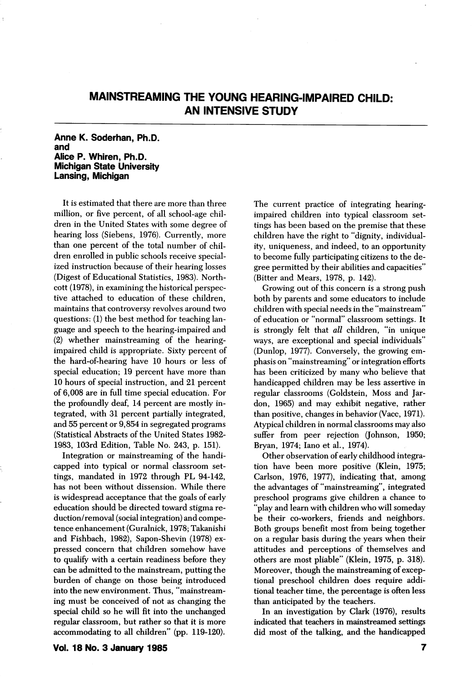# MAINSTREAMING THE YOUNG HEARING-IMPAIRED CHILD: AN INTENSIVE STUDY

# Anne K. Soderhan, Ph.D. and Alice P. Whiren, Ph.D. Michigan State University Lansing, Michigan

It is estimated that there are more than three million, or five percent, of all school-age chil dren in the United States with some degree of hearing loss (Siebens, 1976). Currently, more than one percent of the total number of chil dren enrolled in public schools receive special ized instruction because of their hearing losses (Digest of Educational Statistics, 1983). Northcott (1978), in examining the historical perspec tive attached to education of these children, maintains that controversy revolves around two questions: (1) the best method for teaching lan guage and speech to the hearing-impaired and (2) whether mainstreaming of the hearingimpaired child is appropriate. Sixty percent of the hard-of-hearing have 10 hours or less of special education; 19 percent have more than 10 hours of special instruction, and 21 percent of 6,008 are in full time special education. For the profoundly deaf, 14 percent are mostly in tegrated, with 31 percent partially integrated, and 55 percent or 9,854 in segregated programs (Statistical Abstracts of the United States 1982- 1983, 103rd Edition, Table No. 243, p. 151).

Integration or mainstreaming of the handi capped into typical or normal classroom set tings, mandated in 1972 through PL 94-142, has not been without dissension. While there is widespread acceptance that the goals of early education should be directed toward stigma re duction/removal (social integration) and compe tence enhancement (Guralnick, 1978; Takanishi and Fishbach, 1982), Sapon-Shevin (1978) ex pressed concern that children somehow have to qualify with a certain readiness before they can be admitted to the mainstream, putting the burden of change on those being introduced into the new environment. Thus, "mainstream ing must be conceived of not as changing the special child so he will fit into the unchanged regular classroom, but rather so that it is more accommodating to all children" (pp. 119-120).

Vol. 18 No. 3 January 1985

The current practice of integrating hearingimpaired children into typical classroom set tings has been based on the premise that these children have the right to "dignity, individual ity, uniqueness, and indeed, to an opportunity to become fully participating citizens to the de gree permitted by their abilities and capacities" (Bitter and Mears, 1978, p. 142).

Growing out of this concern is a strong push both by parents and some educators to include children with special needs in the "mainstream" of education or "normal" classroom settings. It is strongly felt that all children, "in unique ways, are exceptional and special individuals" (Dunlop, 1977). Conversely, the growing em phasis on "mainstreaming" or integration efforts has been criticized by many who believe that handicapped children may be less assertive in regular classrooms (Goldstein, Moss and Jardon, 1965) and may exhibit negative, rather than positive, changes in behavior (Vacc, 1971). Atypical children in normal classrooms may also suffer from peer rejection (Johnson, 1950; Bryan, 1974; lano et al., 1974).

Other observation of early childhood integra tion have been more positive (Klein, 1975; Carlson, 1976, 1977), indicating that, among the advantages of "mainstreaming", integrated preschool programs give children a chance to "play and leam with children who will someday be their co-workers, friends and neighbors. Both groups benefit most from being together on a regular basis during the years when their attitudes and perceptions of themselves and others are most pliable" (Klein, 1975, p. 318). Moreover, though the mainstreaming of excep tional preschool children does require addi tional teacher time, the percentage is often less than anticipated by the teachers.

In an investigation by Clark (1976), results indicated that teachers in mainstreamed settings did most of the talking, and the handicapped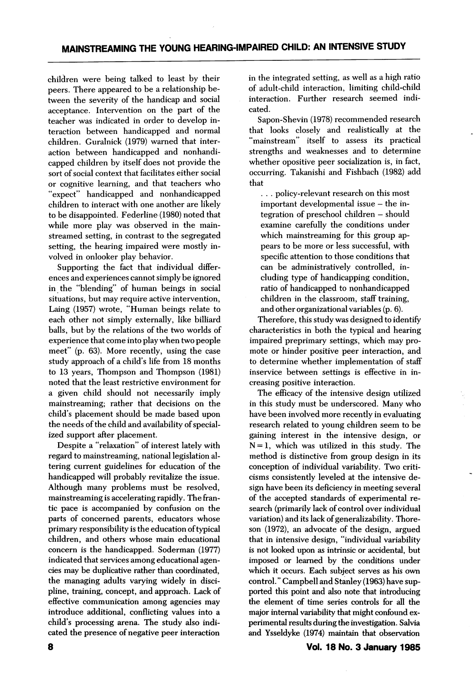children were being talked to least by their peers. There appeared to be a relationship be tween the severity of the handicap and social acceptance. Intervention on the part of the teacher was indicated in order to develop in teraction between handicapped and normal children. Guralnick (1979) warned that inter action between handicapped and nonhandicapped children by itself does not provide the sort of social context that facilitates either social or cognitive learning, and that teachers who "expect" handicapped and nonhandicapped children to interact with one another are likely to be disappointed. Federline (1980) noted that while more play was observed in the mainstreamed setting, in contrast to the segregated setting, the hearing impaired were mostly in volved in onlooker play behavior.

Supporting the fact that individual differ ences and experiences cannot simply be ignored in the "blending" of human beings in social situations, but may require active intervention, Laing (1957) wrote, "Human beings relate to each other not simply externally, like billiard balls, but by the relations of the two worlds of experience that come into play when two people meet" (p. 63). More recently, using the case study approach of a child's life from 18 months to 13 years, Thompson and Thompson (1981) noted that the least restrictive environment for a given child should not necessarily imply main streaming; rather that decisions on the child's placement should be made based upon the needs of the child and availability of special ized support after placement.

Despite a "relaxation" of interest lately with regard to mainstreaming, national legislation al tering current guidelines for education of the handicapped will probably revitalize the issue. Although many problems must be resolved, mainstreaming is accelerating rapidly. The fran tic pace is accompanied by confusion on the parts of concerned parents, educators whose primary responsibility is the education of typical children, and others whose main educational concern is the handicapped. Soderman (1977) indicated that services among educational agen cies may be duplicative rather than coordinated, the managing adults varying widely in disci pline, training, concept, and approach. Lack of effective communication among agencies may introduce additional, conflicting values into a child's processing arena. The study also indi cated the presence of negative peer interaction

in the integrated setting, as well as a high ratio of adult-child interaction, limiting child-child interaction. Further research seemed indi cated.

Sapon-Shevin (1978) recommended research that looks closely and realistically at the "mainstream" itself to assess its practical strengths and weaknesses and to determine whether opositive peer socialization is, in fact, occurring. Takanishi and Fishbach (1982) add that

.. . policy-relevant research on this most important developmental issue - the integration of preschool children - should examine carefully the conditions under which mainstreaming for this group appears to be more or less successful, with specific attention to those conditions that can be administratively controlled, in cluding type of handicapping condition, ratio of handicapped to nonhandicapped children in the classroom, staff training, and other organizational variables (p. 6).

Therefore, this study was designed to identify characteristics in both the typical and hearing impaired preprimary settings, which may pro mote or hinder positive peer interaction, and to determine whether implementation of staff inservice between settings is effective in in creasing positive interaction.

The efficacy of the intensive design utilized in this study must be underscored. Many who have been involved more recently in evaluating research related to young children seem to be gaining interest in the intensive design, or  $N = 1$ , which was utilized in this study. The method is distinctive from group design in its conception of individual variability. Two criti cisms consistently leveled at the intensive de sign have been its deficiency in meeting several of the accepted standards of experimental re search (primarily lack of control over individual variation) and its lack of generalizability. Thoreson (1972), an advocate of the design, argued that in intensive design, "individual variability is not looked upon as intrinsic or accidental, but imposed or learned by the conditions under which it occurs. Each subject serves as his own control." Campbell and Stanley (1963) have sup ported this point and also note that introducing the element of time series controls for all the major internal variability that might confound ex perimental results during the investigation. Salvia and Ysseldyke (1974) maintain that observation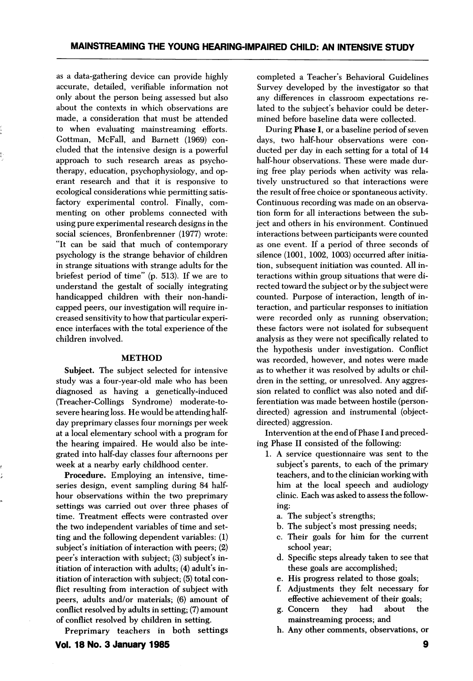as a data-gathering device can provide highly accurate, detailed, verifiable information not only about the person being assessed but also about the contexts in which observations are made, a consideration that must be attended to when evaluating mainstreaming efforts. Gottman, McFall, and Barnett (1969) con cluded that the intensive design is a powerful approach to such research areas as psycho therapy, education, psychophysiology, and operant research and that it is responsive to ecological considerations whie permitting satis factory experimental control. Finally, com menting on other problems connected with using pure experimental research designs in the social sciences, Bronfenbrenner (1977) wrote: "It can be said that much of contemporary psychology is the strange behavior of children in strange situations with strange adults for the briefest period of time" (p. 513). If we are to understand the gestalt of socially integrating handicapped children with their non-handi capped peers, our investigation will require in creased sensitivity to how that particular experi ence interfaces with the total experience of the children involved.

## METHOD

Subject. The subject selected for intensive study was a four-year-old male who has been diagnosed as having a genetically-induced (Treacher-Collings Syndrome) moderate-tosevere hearing loss. He would be attending halfday preprimary classes four mornings per week at a local elementary school with a program for the hearing impaired. He would also be inte grated into half-day classes four afternoons per week at a nearby early childhood center.

Procedure. Employing an intensive, timeseries design, event sampling during 84 halfhour observations within the two preprimary settings was carried out over three phases of time. Treatment effects were contrasted over the two independent variables of time and set ting and the following dependent variables: (1) subject's initiation of interaction with peers; (2) peer's interaction with subject; (3) subject's in itiation of interaction with adults; (4) adult's in itiation of interaction with subject; (5) total con flict resulting from interaction of subject with peers, adults and/or materials; (6) amount of conflict resolved by adults in setting; (7) amount of conflict resolved by children in setting.

Preprimary teachers in both settings

completed a Teacher's Behavioral Guidelines Survey developed by the investigator so that any differences in classroom expectations re lated to the subject's behavior could be deter mined before baseline data were collected.

During Phase I, or a baseline period of seven days, two half-hour observations were con ducted per day in each setting for a total of 14 half-hour observations. These were made dur ing free play periods when activity was rela tively unstructured so that interactions were the result of free choice or spontaneous activity. Continuous recording was made on an observa tion form for all interactions between the sub ject and others in his environment. Continued interactions between participants were counted as one event. If a period of three seconds of silence (1001, 1002, 1003) occurred after initia tion, subsequent initiation was counted. All in teractions within group situations that were di rected toward the subject or by the subject were counted. Purpose of interaction, length of in teraction, and particular responses to initiation were recorded only as running observation; these factors were not isolated for subsequent analysis as they were not specifically related to the hypothesis under investigation. Conflict was recorded, however, and notes were made as to whether it was resolved by adults or chil dren in the setting, or unresolved. Any aggres sion related to conflict was also noted and dif ferentiation was made between hostile (persondirected) agression and instrumental (objectdirected) aggression.

Intervention at the end of Phase I and preced ing Phase II consisted of the following:

- 1. A service questionnaire was sent to the subject's parents, to each of the primary teachers, and to the clinician working with him at the local speech and audiology clinic. Each was asked to assess the follow ing:
	- a. The subject's strengths;
	- b. The subject's most pressing needs;
	- c. Their goals for him for the current school year;
	- d. Specific steps already taken to see that these goals are accomplished;
	- e. His progress related to those goals;
	- f. Adjustments they felt necessary for effective achievement of their goals;
	- g. Concern they had about the mainstreaming process; and
	- h. Any other comments, observations, or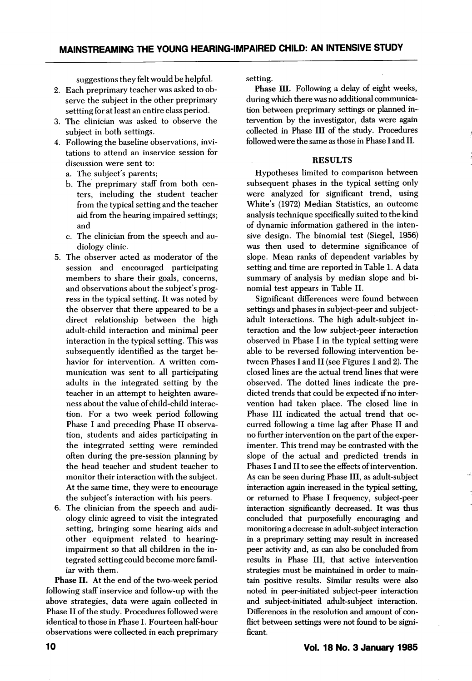suggestions they felt would be helpful.

- 2. Each preprimary teacher was asked to ob serve the subject in the other preprimary settting for at least an entire class period.
- 3. The clinician was asked to observe the subject in both settings.
- 4. Following the baseline observations, invi tations to attend an inservice session for discussion were sent to:
	- a. The subject's parents;
	- b. The preprimary staff from both cen ters, including the student teacher from the typical setting and the teacher aid from the hearing impaired settings; and
	- c. The clinician from the speech and audiology clinic.
- 5. The observer acted as moderator of the session and encouraged participating members to share their goals, concerns, and observations about the subject's prog ress in the typical setting. It was noted by the observer that there appeared to be a direct relationship between the high adult-child interaction and minimal peer interaction in the typical setting. This was subsequently identified as the target be havior for intervention. A written com munication was sent to all participating adults in the integrated setting by the teacher in an attempt to heighten aware ness about the value of child-child interac tion. For a two week period following Phase I and preceding Phase II observa tion, students and aides participating in the integrrated setting were reminded often during the pre-session planning by the head teacher and student teacher to monitor their interaction with the subject. At the same time, they were to encourage the subject's interaction with his peers.
- 6. The clinician from the speech and audiology clinic agreed to visit the integrated setting, bringing some hearing aids and other equipment related to hearingimpairment so that all children in the in tegrated setting could become more famil iar with them.

Phase II. At the end of the two-week period following staff inservice and follow-up with the above strategies, data were again collected in Phase II of the study. Procedures followed were identical to those in Phase I. Fourteen half-hour observations were collected in each preprimary setting.

Phase III. Following a delay of eight weeks, during which there was no additional communica tion between preprimary settings or planned in tervention by the investigator, data were again collected in Phase III of the study. Procedures followed were the same as those in Phase I and II.

# RESULTS

Hypotheses limited to comparison between subsequent phases in the typical setting only were analyzed for significant trend, using White's (1972) Median Statistics, an outcome analysis technique specifically suited to the kind of dynamic information gathered in the inten sive design. The binomial test (Siegel, 1956) was then used to determine significance of slope. Mean ranks of dependent variables by setting and time are reported in Table 1. A data summary of analysis by median slope and bi nomial test appears in Table II.

Significant differences were found between settings and phases in subject-peer and subjectadult interactions. The high adult-subject in teraction and the low subject-peer interaction observed in Phase I in the typical setting were able to be reversed following intervention be tween Phases I and II (see Figures I and 2). The closed lines are the actual trend lines that were observed. The dotted lines indicate the pre dicted trends that could be expected if no inter vention had taken place. The closed line in Phase III indicated the actual trend that oc curred following a time lag after Phase II and no further intervention on the part of the exper imenter. This trend may be contrasted with the slope of the actual and predicted trends in Phases I and II to see the effects of intervention. As can be seen during Phase III, as adult-subject interaction again increased in the typical setting, or returned to Phase I frequency, subject-peer interaction significantly decreased. It was thus concluded that purposefully encouraging and monitoring a decrease in adult-subject interaction in a preprimary setting may result in increased peer activity and, as can also be concluded from results in Phase III, that active intervention strategies must be maintained in order to main tain positive results. Similar results were also noted in peer-initiated subject-peer interaction and subject-initiated adult-subject interaction. Differences in the resolution and amount of con flict between settings were not found to be signi ficant.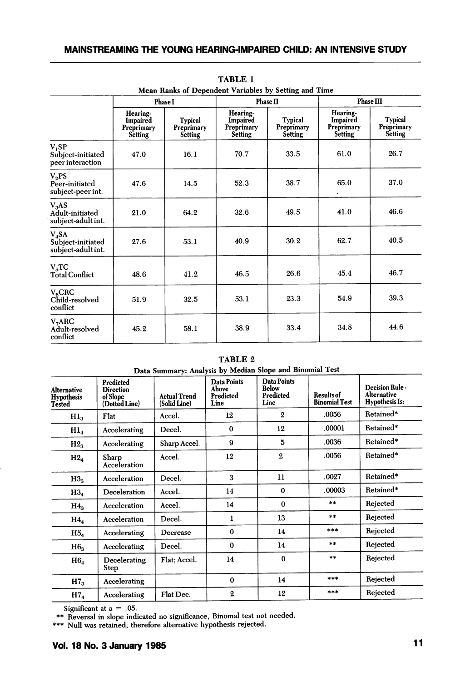| Mean Ranks of Dependent Variables by Setting and Time    |                                                      |                                         |                                                             |                                                |                                                             |                                         |  |
|----------------------------------------------------------|------------------------------------------------------|-----------------------------------------|-------------------------------------------------------------|------------------------------------------------|-------------------------------------------------------------|-----------------------------------------|--|
|                                                          | <b>Phase I</b>                                       |                                         | <b>Phase II</b>                                             |                                                | <b>Phase III</b>                                            |                                         |  |
|                                                          | Hearing-<br>Impaired<br>Preprimary<br><b>Setting</b> | Typical<br>Preprimary<br><b>Setting</b> | Hearing-<br><b>Impaired</b><br>Preprimary<br><b>Setting</b> | <b>Typical</b><br>Preprimary<br><b>Setting</b> | Hearing-<br>Impaired<br><b>Preprimary</b><br><b>Setting</b> | Typical<br>Preprimary<br><b>Setting</b> |  |
| $V_1SP$<br>Subject-initiated<br>peer interaction         | 47.0                                                 | 16.1                                    | 70.7                                                        | 33.5                                           | 61.0                                                        | 26.7                                    |  |
| V <sub>2</sub> PS<br>Peer-initiated<br>subject-peer int. | 47.6                                                 | 14.5                                    | 52.3                                                        | 38.7                                           | 65.0                                                        | 37.0                                    |  |
| $V_3AS$<br>Adult-initiated<br>subject-adult int.         | 21.0                                                 | 64.2                                    | 32.6                                                        | 49.5                                           | 41.0                                                        | 46.6                                    |  |
| $V_4SA$<br>Subject-initiated<br>subject-adult int.       | 27.6                                                 | 53.1                                    | 40.9                                                        | 30.2                                           | 62.7                                                        | 40.5                                    |  |
| V <sub>5</sub> TC<br><b>Total Conflict</b>               | 48.6                                                 | 41.2                                    | 46.5                                                        | 26.6                                           | 45.4                                                        | 46.7                                    |  |
| $V_{6}CRC$<br>Child-resolved<br>conflict                 | 51.9                                                 | 32.5                                    | 53.1                                                        | 23.3                                           | 54.9                                                        | 39.3                                    |  |
| $V_7$ ARC<br>Adult-resolved<br>conflict                  | 45.2                                                 | 58.1                                    | 38.9                                                        | 33.4                                           | 34.8                                                        | 44.6                                    |  |

| TABLE 1 |                                           |  |  |  |  |  |  |  |
|---------|-------------------------------------------|--|--|--|--|--|--|--|
|         | nks of Dependent Variables by Setting and |  |  |  |  |  |  |  |

TABLE 2

| Data Summary: Analysis by Median Slope and Binomial Test |                                                            |                                     |                                           |                                                         |                                           |                                                                |  |
|----------------------------------------------------------|------------------------------------------------------------|-------------------------------------|-------------------------------------------|---------------------------------------------------------|-------------------------------------------|----------------------------------------------------------------|--|
| <b>Alternative</b><br><b>Hypothesis</b><br><b>Tested</b> | Predicted<br><b>Direction</b><br>of Slope<br>(Dotted Line) | <b>Actual Trend</b><br>(Solid Line) | Data Points<br>Above<br>Predicted<br>Line | <b>Data Points</b><br><b>Below</b><br>Predicted<br>Line | <b>Results of</b><br><b>Binomial Test</b> | Decision Rule -<br><b>Alternative</b><br><b>Hypothesis Is:</b> |  |
| Hl <sub>3</sub>                                          | Flat                                                       | Accel.                              | 12                                        | $\mathbf{2}$                                            | .0056                                     | Retained*                                                      |  |
| Hl <sub>4</sub>                                          | Accelerating                                               | Decel.                              | $\bf{0}$                                  | 12                                                      | .00001                                    | Retained*                                                      |  |
| H2 <sub>3</sub>                                          | Accelerating                                               | Sharp Accel.                        | 9                                         | 5                                                       | .0036                                     | Retained*                                                      |  |
| H2 <sub>4</sub>                                          | Sharp<br>Acceleration                                      | Accel.                              | 12                                        | $\mathbf 2$                                             | .0056                                     | Retained*                                                      |  |
| H3 <sub>3</sub>                                          | Acceleration                                               | Decel.                              | 3                                         | 11                                                      | .0027                                     | Retained*                                                      |  |
| H3 <sub>4</sub>                                          | Deceleration                                               | Accel.                              | 14                                        | $\bf{0}$                                                | .00003                                    | Retained*                                                      |  |
| $H4_{3}$                                                 | Acceleration                                               | Accel.                              | 14                                        | $\bf{0}$                                                | $**$                                      | Rejected                                                       |  |
| $H4_{4}$                                                 | Acceleration                                               | Decel.                              | ı                                         | 13                                                      | $***$                                     | Rejected                                                       |  |
| H5 <sub>4</sub>                                          | Accelerating                                               | Decrease                            | $\bf{0}$                                  | 14                                                      | ***                                       | Rejected                                                       |  |
| H6 <sub>3</sub>                                          | Accelerating                                               | Decel.                              | $\bf{0}$                                  | 14                                                      | $***$                                     | Rejected                                                       |  |
| H6 <sub>4</sub>                                          | Decelerating<br>Step                                       | Flat: Accel.                        | 14                                        | $\bf{0}$                                                | $***$                                     | Rejected                                                       |  |
| H7 <sub>3</sub>                                          | Accelerating                                               |                                     | $\bf{0}$                                  | 14                                                      | $* * *$                                   | Rejected                                                       |  |
| H7 <sub>4</sub>                                          | Accelerating                                               | Flat Dec.                           | $\overline{2}$                            | 12                                                      | $***$                                     | Rejected                                                       |  |

 $1.02 \times 1.02$ 

Significant at  $a = .05$ .

\*\* Reversal in slope indicated no significance, Binomal test not needed.

\*\*\* Null was retained; therefore alternative hypothesis rejected.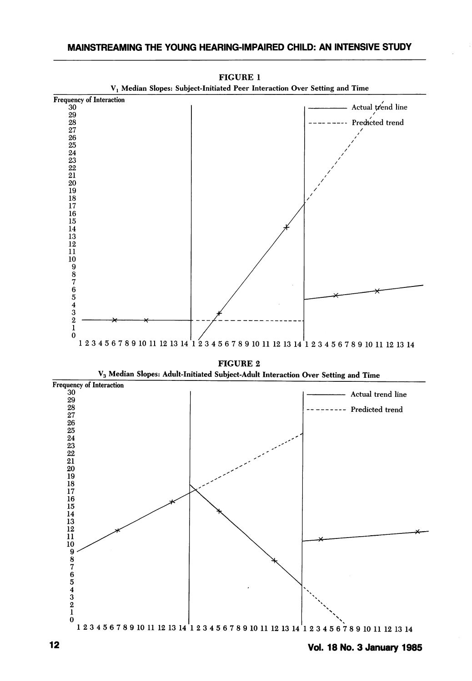

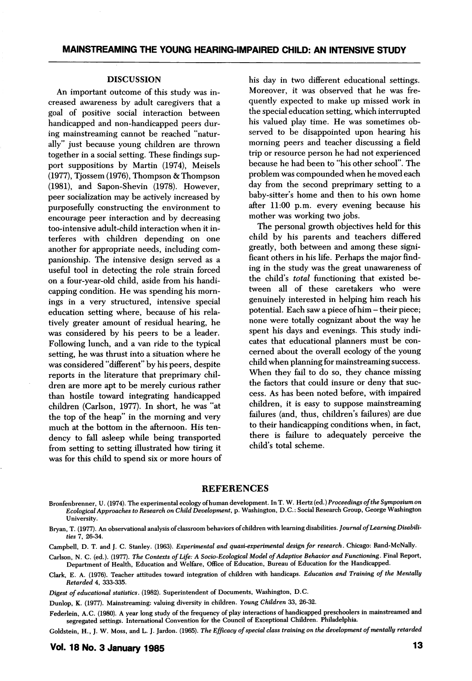# DISCUSSION

An important outcome of this study was in creased awareness by adult caregivers that a goal of positive social interaction between handicapped and non-handicapped peers dur ing mainstreaming cannot be reached "natur ally" just because young children are thrown together in a social setting. These findings sup port suppositions by Martin (1974), Meisels (1977), Tjossem (1976), Thompson & Thompson (1981), and Sapon-Shevin (1978). However, peer socialization may be actively increased by purposefully constructing the environment to encourage peer interaction and by decreasing too-intensive adult-child interaction when it in terferes with children depending on one another for appropriate needs, including com panionship. The intensive design served as a useful tool in detecting the role strain forced on a four-year-old child, aside from his handi capping condition. He was spending his morn ings in a very structured, intensive special education setting where, because of his rela tively greater amount of residual hearing, he was considered by his peers to be a leader. Following lunch, and a van ride to the typical setting, he was thrust into a situation where he was considered "different" by his peers, despite reports in the literature that preprimary chil dren are more apt to be merely curious rather than hostile toward integrating handicapped children (Carlson, 1977). In short, he was "at the top of the heap" in the morning and very much at the bottom in the afternoon. His ten dency to fall asleep while being transported from setting to setting illustrated how tiring it was for this child to spend six or more hours of his day in two different educational settings. Moreover, it was observed that he was fre quently expected to make up missed work in the special education setting, which interrupted his valued play time. He was sometimes ob served to be disappointed upon hearing his morning peers and teacher discussing a field trip or resource person he had not experienced because he had been to "his other school". The problem was compounded when he moved each day from the second preprimary setting to a baby-sitter's home and then to his own home after 11:00 p.m. every evening because his mother was working two jobs.

The personal growth objectives held for this child by his parents and teachers differed greatly, both between and among these signi ficant others in his life. Perhaps the major find ing in the study was the great unawareness of the child's total functioning that existed be tween all of these caretakers who were genuinely interested in helping him reach his potential. Each saw a piece of him - their piece; none were totally cognizant about the way he spent his days and evenings. This study indi cates that educational planners must be con cerned about the overall ecology of the young child when planning for mainstreaming success. When they fail to do so, they chance missing the factors that could insure or deny that suc cess. As has been noted before, with impaired children, it is easy to suppose mainstreaming failures (and, thus, children's failures) are due to their handicapping conditions when, in fact, there is failure to adequately perceive the child's total scheme.

# **REFERENCES**

Bronfenbrenner, U. (1974). The experimental ecology of human development. InT. W. Hertz (ed.) Proceedings ofthe Symposium on Ecological Approaches to Research on Child Development, p. Washington, D.C.: Social Research Group, George Washington University.

Bryan, T. (1977). An observational analysis of classroom behaviors of children with learning disabilities. Journal of Learning Disabilities 7, 26-34.

Campbell, D. T. and J. C. Stanley. (1963). Experimental and quasi-experimental design for research. Chicago: Rand-McNally.

Carlson, N. C. (ed.). (1977). The Contexts of Life: A Socio-Ecological Model of Adaptive Behavior and Functioning. Final Report, Department of Health, Education and Welfare, Office of Education, Bureau of Education for the Handicapped.

Clark, E. A. (1976). Teacher attitudes toward integration of children with handicaps. Education and Training of the Mentally Retarded 4, 333-335.

Digest of educational statistics. (1982). Superintendent of Documents, Washington, D.C.

Dunlop, K. (1977). Mainstreaming: valuing diversity in children. Young Children 33, 26-32.

Federlein, A.C. (1980). A year long study of the frequency of play interactions of handicapped preschoolers in mainstreamed and segregated settings. International Convention for the Council of Exceptional Children. Philadelphia.

Goldstein, H., J. W. Moss, and L. J. Jardon. (1965). The Efficacy of special class training on the development of mentally retarded